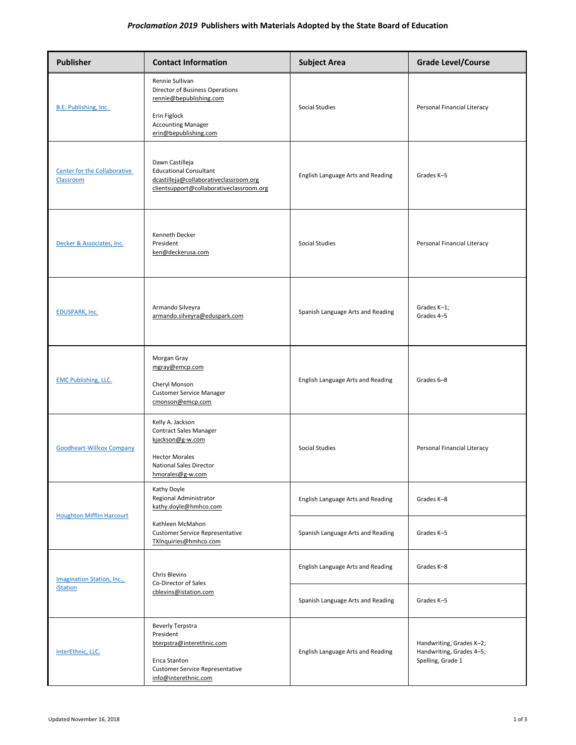## *Proclamation 2019* **Publishers with Materials Adopted by the State Board of Education**

| <b>Publisher</b>                              | <b>Contact Information</b>                                                                                                                           | <b>Subject Area</b>               | <b>Grade Level/Course</b>                                                 |
|-----------------------------------------------|------------------------------------------------------------------------------------------------------------------------------------------------------|-----------------------------------|---------------------------------------------------------------------------|
| B.E. Publishing, Inc.                         | Rennie Sullivan<br>Director of Business Operations<br>rennie@bepublishing.com<br>Erin Figlock<br><b>Accounting Manager</b><br>erin@bepublishing.com  | Social Studies                    | Personal Financial Literacy                                               |
| Center for the Collaborative<br>Classroom     | Dawn Castilleja<br><b>Educational Consultant</b><br>dcastilleja@collaborativeclassroom.org<br>clientsupport@collaborativeclassroom.org               | English Language Arts and Reading | Grades K-5                                                                |
| Decker & Associates, Inc.                     | Kenneth Decker<br>President<br>ken@deckerusa.com                                                                                                     | Social Studies                    | Personal Financial Literacy                                               |
| <b>EDUSPARK, Inc.</b>                         | Armando Silveyra<br>armando.silveyra@eduspark.com                                                                                                    | Spanish Language Arts and Reading | Grades K-1;<br>Grades 4-5                                                 |
| <b>EMC Publishing, LLC.</b>                   | Morgan Gray<br>mgray@emcp.com<br>Cheryl Monson<br><b>Customer Service Manager</b><br>cmonson@emcp.com                                                | English Language Arts and Reading | Grades 6-8                                                                |
| <b>Goodheart-Willcox Company</b>              | Kelly A. Jackson<br>Contract Sales Manager<br>kjackson@g-w.com<br><b>Hector Morales</b><br><b>National Sales Director</b><br>hmorales@g-w.com        | Social Studies                    | Personal Financial Literacy                                               |
| <b>Houghton Mifflin Harcourt</b>              | Kathy Doyle<br>Regional Administrator<br>kathy.doyle@hmhco.com                                                                                       | English Language Arts and Reading | Grades K-8                                                                |
|                                               | Kathleen McMahon<br><b>Customer Service Representative</b><br>TXInquiries@hmhco.com                                                                  | Spanish Language Arts and Reading | Grades K-5                                                                |
| Imagination Station, Inc.,<br><b>iStation</b> | <b>Chris Blevins</b><br>Co-Director of Sales<br>cblevins@istation.com                                                                                | English Language Arts and Reading | Grades K-8                                                                |
|                                               |                                                                                                                                                      | Spanish Language Arts and Reading | Grades K-5                                                                |
| InterEthnic, LLC.                             | <b>Beverly Terpstra</b><br>President<br>bterpstra@interethnic.com<br>Erica Stanton<br><b>Customer Service Representative</b><br>info@interethnic.com | English Language Arts and Reading | Handwriting, Grades K-2;<br>Handwriting, Grades 4-5;<br>Spelling, Grade 1 |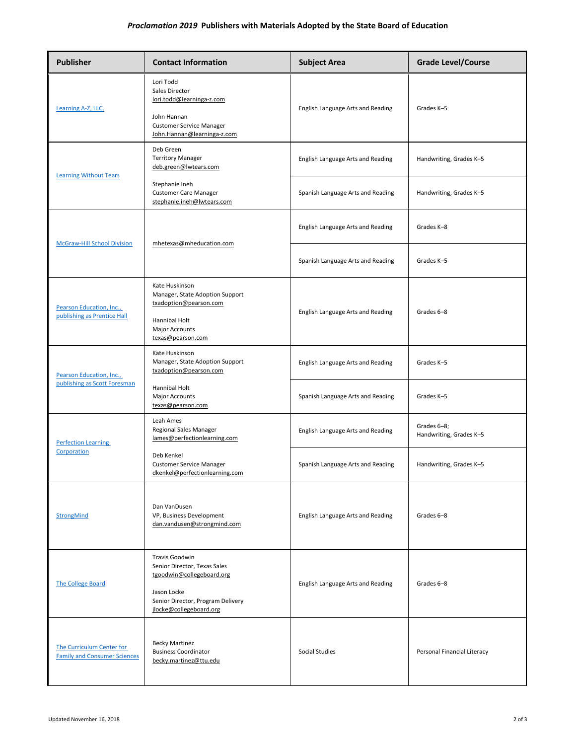## *Proclamation 2019* **Publishers with Materials Adopted by the State Board of Education**

| <b>Publisher</b>                                                 | <b>Contact Information</b>                                                                                                                                 | <b>Subject Area</b>               | <b>Grade Level/Course</b>              |
|------------------------------------------------------------------|------------------------------------------------------------------------------------------------------------------------------------------------------------|-----------------------------------|----------------------------------------|
| Learning A-Z, LLC.                                               | Lori Todd<br>Sales Director<br>lori.todd@learninga-z.com<br>John Hannan<br><b>Customer Service Manager</b><br>John.Hannan@learninga-z.com                  | English Language Arts and Reading | Grades K-5                             |
| <b>Learning Without Tears</b>                                    | Deb Green<br><b>Territory Manager</b><br>deb.green@lwtears.com                                                                                             | English Language Arts and Reading | Handwriting, Grades K-5                |
|                                                                  | Stephanie Ineh<br><b>Customer Care Manager</b><br>stephanie.ineh@lwtears.com                                                                               | Spanish Language Arts and Reading | Handwriting, Grades K-5                |
| <b>McGraw-Hill School Division</b>                               | mhetexas@mheducation.com                                                                                                                                   | English Language Arts and Reading | Grades K-8                             |
|                                                                  |                                                                                                                                                            | Spanish Language Arts and Reading | Grades K-5                             |
| Pearson Education, Inc.,<br>publishing as Prentice Hall          | Kate Huskinson<br>Manager, State Adoption Support<br>txadoption@pearson.com<br>Hannibal Holt<br><b>Major Accounts</b><br>texas@pearson.com                 | English Language Arts and Reading | Grades 6-8                             |
| Pearson Education, Inc.,<br>publishing as Scott Foresman         | Kate Huskinson<br>Manager, State Adoption Support<br>txadoption@pearson.com                                                                                | English Language Arts and Reading | Grades K-5                             |
|                                                                  | Hannibal Holt<br>Major Accounts<br>texas@pearson.com                                                                                                       | Spanish Language Arts and Reading | Grades K-5                             |
| <b>Perfection Learning</b><br>Corporation                        | Leah Ames<br>Regional Sales Manager<br>lames@perfectionlearning.com                                                                                        | English Language Arts and Reading | Grades 6-8;<br>Handwriting, Grades K-5 |
|                                                                  | Deb Kenkel<br><b>Customer Service Manager</b><br>dkenkel@perfectionlearning.com                                                                            | Spanish Language Arts and Reading | Handwriting, Grades K-5                |
| <b>StrongMind</b>                                                | Dan VanDusen<br>VP, Business Development<br>dan.vandusen@strongmind.com                                                                                    | English Language Arts and Reading | Grades 6-8                             |
| <b>The College Board</b>                                         | Travis Goodwin<br>Senior Director, Texas Sales<br>tgoodwin@collegeboard.org<br>Jason Locke<br>Senior Director, Program Delivery<br>jlocke@collegeboard.org | English Language Arts and Reading | Grades 6-8                             |
| The Curriculum Center for<br><b>Family and Consumer Sciences</b> | <b>Becky Martinez</b><br><b>Business Coordinator</b><br>becky.martinez@ttu.edu                                                                             | Social Studies                    | Personal Financial Literacy            |